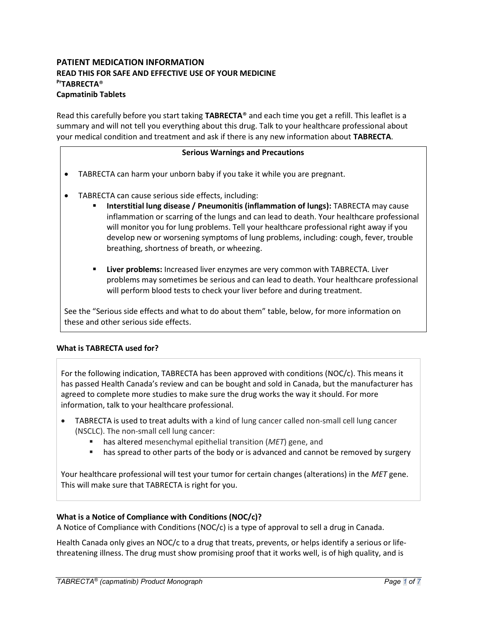# PATIENT MEDICATION INFORMATION READ THIS FOR SAFE AND EFFECTIVE USE OF YOUR MEDICINE PTABRFCTA<sup>®</sup> Capmatinib Tablets

Read this carefully before you start taking TABRECTA® and each time you get a refill. This leaflet is a summary and will not tell you everything about this drug. Talk to your healthcare professional about your medical condition and treatment and ask if there is any new information about TABRECTA.

### Serious Warnings and Precautions

- TABRECTA can harm your unborn baby if you take it while you are pregnant.
- TABRECTA can cause serious side effects, including:
	- Interstitial lung disease / Pneumonitis (inflammation of lungs): TABRECTA may cause inflammation or scarring of the lungs and can lead to death. Your healthcare professional will monitor you for lung problems. Tell your healthcare professional right away if you develop new or worsening symptoms of lung problems, including: cough, fever, trouble breathing, shortness of breath, or wheezing.
	- **EXECT** Liver problems: Increased liver enzymes are very common with TABRECTA. Liver problems may sometimes be serious and can lead to death. Your healthcare professional will perform blood tests to check your liver before and during treatment.

See the "Serious side effects and what to do about them" table, below, for more information on these and other serious side effects.

### What is TABRECTA used for?

For the following indication, TABRECTA has been approved with conditions (NOC/c). This means it has passed Health Canada's review and can be bought and sold in Canada, but the manufacturer has agreed to complete more studies to make sure the drug works the way it should. For more information, talk to your healthcare professional.

- TABRECTA is used to treat adults with a kind of lung cancer called non-small cell lung cancer (NSCLC). The non-small cell lung cancer:
	- has altered mesenchymal epithelial transition (MET) gene, and
	- **has spread to other parts of the body or is advanced and cannot be removed by surgery**

Your healthcare professional will test your tumor for certain changes (alterations) in the MET gene. This will make sure that TABRECTA is right for you.

### What is a Notice of Compliance with Conditions (NOC/c)?

A Notice of Compliance with Conditions (NOC/c) is a type of approval to sell a drug in Canada.

Health Canada only gives an NOC/c to a drug that treats, prevents, or helps identify a serious or lifethreatening illness. The drug must show promising proof that it works well, is of high quality, and is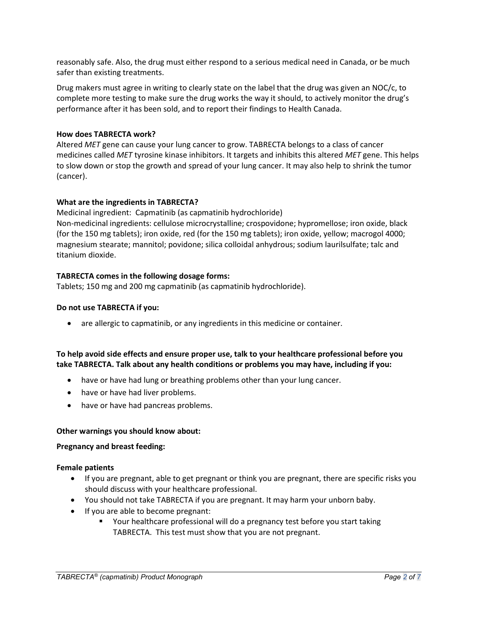reasonably safe. Also, the drug must either respond to a serious medical need in Canada, or be much safer than existing treatments.

Drug makers must agree in writing to clearly state on the label that the drug was given an NOC/c, to complete more testing to make sure the drug works the way it should, to actively monitor the drug's performance after it has been sold, and to report their findings to Health Canada.

# How does TABRECTA work?

Altered MET gene can cause your lung cancer to grow. TABRECTA belongs to a class of cancer medicines called MET tyrosine kinase inhibitors. It targets and inhibits this altered MET gene. This helps to slow down or stop the growth and spread of your lung cancer. It may also help to shrink the tumor (cancer).

# What are the ingredients in TABRECTA?

Medicinal ingredient: Capmatinib (as capmatinib hydrochloride) Non-medicinal ingredients: cellulose microcrystalline; crospovidone; hypromellose; iron oxide, black (for the 150 mg tablets); iron oxide, red (for the 150 mg tablets); iron oxide, yellow; macrogol 4000; magnesium stearate; mannitol; povidone; silica colloidal anhydrous; sodium laurilsulfate; talc and titanium dioxide.

# TABRECTA comes in the following dosage forms:

Tablets; 150 mg and 200 mg capmatinib (as capmatinib hydrochloride).

### Do not use TABRECTA if you:

are allergic to capmatinib, or any ingredients in this medicine or container.

# To help avoid side effects and ensure proper use, talk to your healthcare professional before you take TABRECTA. Talk about any health conditions or problems you may have, including if you:

- have or have had lung or breathing problems other than your lung cancer.
- have or have had liver problems.
- have or have had pancreas problems.

### Other warnings you should know about:

### Pregnancy and breast feeding:

### Female patients

- If you are pregnant, able to get pregnant or think you are pregnant, there are specific risks you should discuss with your healthcare professional.
- You should not take TABRECTA if you are pregnant. It may harm your unborn baby.
- If you are able to become pregnant:
	- Your healthcare professional will do a pregnancy test before you start taking TABRECTA. This test must show that you are not pregnant.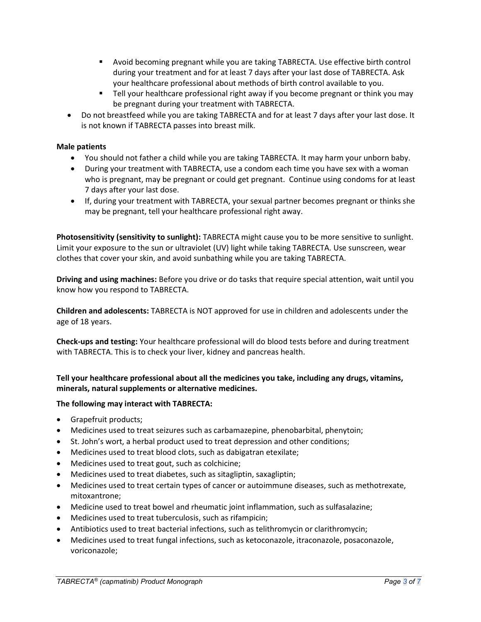- Avoid becoming pregnant while you are taking TABRECTA. Use effective birth control during your treatment and for at least 7 days after your last dose of TABRECTA. Ask your healthcare professional about methods of birth control available to you.
- **Tell your healthcare professional right away if you become pregnant or think you may** be pregnant during your treatment with TABRECTA.
- Do not breastfeed while you are taking TABRECTA and for at least 7 days after your last dose. It is not known if TABRECTA passes into breast milk.

# Male patients

- You should not father a child while you are taking TABRECTA. It may harm your unborn baby.
- During your treatment with TABRECTA, use a condom each time you have sex with a woman who is pregnant, may be pregnant or could get pregnant. Continue using condoms for at least 7 days after your last dose.
- If, during your treatment with TABRECTA, your sexual partner becomes pregnant or thinks she may be pregnant, tell your healthcare professional right away.

Photosensitivity (sensitivity to sunlight): TABRECTA might cause you to be more sensitive to sunlight. Limit your exposure to the sun or ultraviolet (UV) light while taking TABRECTA. Use sunscreen, wear clothes that cover your skin, and avoid sunbathing while you are taking TABRECTA.

Driving and using machines: Before you drive or do tasks that require special attention, wait until you know how you respond to TABRECTA.

Children and adolescents: TABRECTA is NOT approved for use in children and adolescents under the age of 18 years.

Check-ups and testing: Your healthcare professional will do blood tests before and during treatment with TABRECTA. This is to check your liver, kidney and pancreas health.

# Tell your healthcare professional about all the medicines you take, including any drugs, vitamins, minerals, natural supplements or alternative medicines.

### The following may interact with TABRECTA:

- Grapefruit products;
- Medicines used to treat seizures such as carbamazepine, phenobarbital, phenytoin;
- St. John's wort, a herbal product used to treat depression and other conditions;
- Medicines used to treat blood clots, such as dabigatran etexilate;
- Medicines used to treat gout, such as colchicine;
- Medicines used to treat diabetes, such as sitagliptin, saxagliptin;
- Medicines used to treat certain types of cancer or autoimmune diseases, such as methotrexate, mitoxantrone;
- Medicine used to treat bowel and rheumatic joint inflammation, such as sulfasalazine;
- Medicines used to treat tuberculosis, such as rifampicin;
- Antibiotics used to treat bacterial infections, such as telithromycin or clarithromycin;
- Medicines used to treat fungal infections, such as ketoconazole, itraconazole, posaconazole, voriconazole;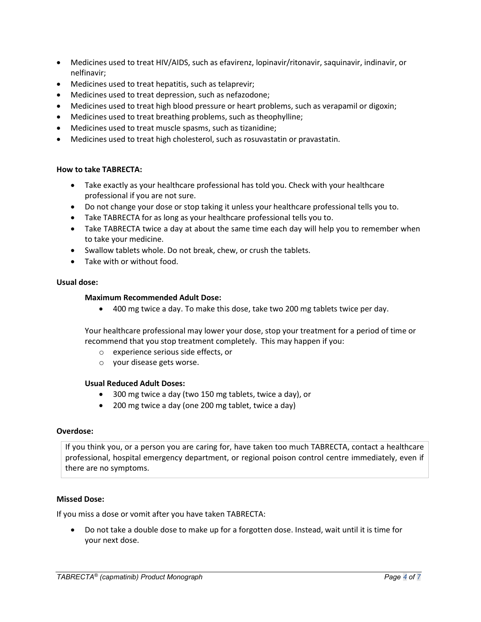- Medicines used to treat HIV/AIDS, such as efavirenz, lopinavir/ritonavir, saquinavir, indinavir, or nelfinavir;
- Medicines used to treat hepatitis, such as telaprevir;
- Medicines used to treat depression, such as nefazodone;
- Medicines used to treat high blood pressure or heart problems, such as verapamil or digoxin;
- Medicines used to treat breathing problems, such as theophylline;
- Medicines used to treat muscle spasms, such as tizanidine;
- Medicines used to treat high cholesterol, such as rosuvastatin or pravastatin.

### How to take TABRECTA:

- Take exactly as your healthcare professional has told you. Check with your healthcare professional if you are not sure.
- Do not change your dose or stop taking it unless your healthcare professional tells you to.
- Take TABRECTA for as long as your healthcare professional tells you to.
- Take TABRECTA twice a day at about the same time each day will help you to remember when to take your medicine.
- Swallow tablets whole. Do not break, chew, or crush the tablets.
- Take with or without food.

### Usual dose:

### Maximum Recommended Adult Dose:

400 mg twice a day. To make this dose, take two 200 mg tablets twice per day.

Your healthcare professional may lower your dose, stop your treatment for a period of time or recommend that you stop treatment completely. This may happen if you:

- o experience serious side effects, or
- o your disease gets worse.

### Usual Reduced Adult Doses:

- 300 mg twice a day (two 150 mg tablets, twice a day), or
- 200 mg twice a day (one 200 mg tablet, twice a day)

#### Overdose:

If you think you, or a person you are caring for, have taken too much TABRECTA, contact a healthcare professional, hospital emergency department, or regional poison control centre immediately, even if there are no symptoms.

### Missed Dose:

If you miss a dose or vomit after you have taken TABRECTA:

 Do not take a double dose to make up for a forgotten dose. Instead, wait until it is time for your next dose.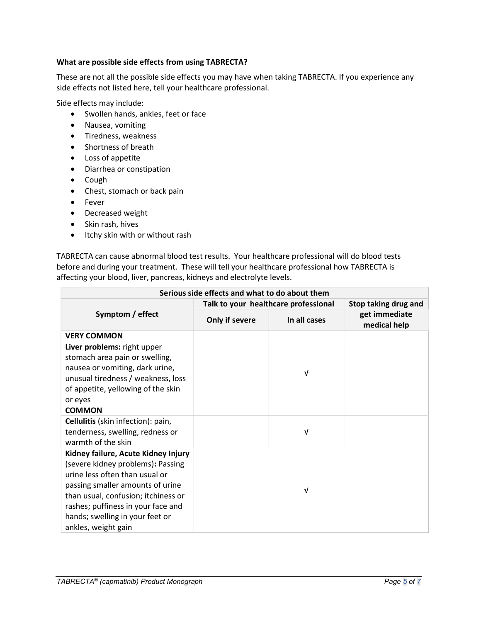## What are possible side effects from using TABRECTA?

These are not all the possible side effects you may have when taking TABRECTA. If you experience any side effects not listed here, tell your healthcare professional.

Side effects may include:

- Swollen hands, ankles, feet or face
- Nausea, vomiting
- **•** Tiredness, weakness
- Shortness of breath
- Loss of appetite
- Diarrhea or constipation
- Cough
- Chest, stomach or back pain
- Fever
- Decreased weight
- Skin rash, hives
- Itchy skin with or without rash

TABRECTA can cause abnormal blood test results. Your healthcare professional will do blood tests before and during your treatment. These will tell your healthcare professional how TABRECTA is affecting your blood, liver, pancreas, kidneys and electrolyte levels.

| Serious side effects and what to do about them |                                      |              |                               |  |
|------------------------------------------------|--------------------------------------|--------------|-------------------------------|--|
| Symptom / effect                               | Talk to your healthcare professional |              | Stop taking drug and          |  |
|                                                | Only if severe                       | In all cases | get immediate<br>medical help |  |
| <b>VERY COMMON</b>                             |                                      |              |                               |  |
| Liver problems: right upper                    |                                      |              |                               |  |
| stomach area pain or swelling,                 |                                      |              |                               |  |
| nausea or vomiting, dark urine,                |                                      | V            |                               |  |
| unusual tiredness / weakness, loss             |                                      |              |                               |  |
| of appetite, yellowing of the skin             |                                      |              |                               |  |
| or eyes                                        |                                      |              |                               |  |
| <b>COMMON</b>                                  |                                      |              |                               |  |
| Cellulitis (skin infection): pain,             |                                      |              |                               |  |
| tenderness, swelling, redness or               |                                      | ν            |                               |  |
| warmth of the skin                             |                                      |              |                               |  |
| Kidney failure, Acute Kidney Injury            |                                      |              |                               |  |
| (severe kidney problems): Passing              |                                      |              |                               |  |
| urine less often than usual or                 |                                      |              |                               |  |
| passing smaller amounts of urine               |                                      | ν            |                               |  |
| than usual, confusion; itchiness or            |                                      |              |                               |  |
| rashes; puffiness in your face and             |                                      |              |                               |  |
| hands; swelling in your feet or                |                                      |              |                               |  |
| ankles, weight gain                            |                                      |              |                               |  |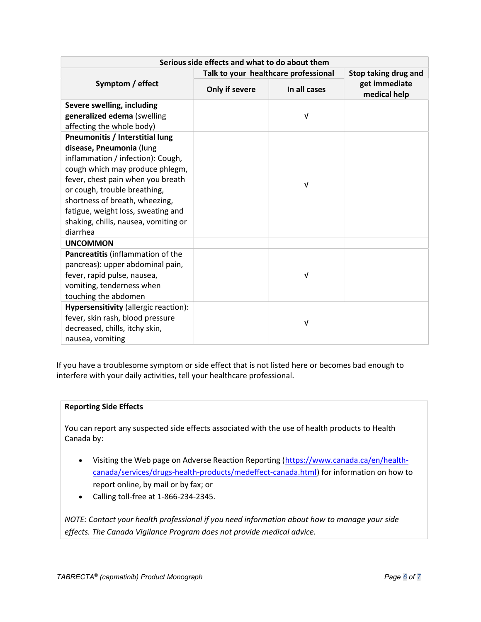| Serious side effects and what to do about them                                                                                                                                                                                                                                                                                       |                                      |              |                               |  |
|--------------------------------------------------------------------------------------------------------------------------------------------------------------------------------------------------------------------------------------------------------------------------------------------------------------------------------------|--------------------------------------|--------------|-------------------------------|--|
| Symptom / effect                                                                                                                                                                                                                                                                                                                     | Talk to your healthcare professional |              | Stop taking drug and          |  |
|                                                                                                                                                                                                                                                                                                                                      | Only if severe                       | In all cases | get immediate<br>medical help |  |
| Severe swelling, including<br>generalized edema (swelling<br>affecting the whole body)                                                                                                                                                                                                                                               |                                      | $\sqrt{ }$   |                               |  |
| Pneumonitis / Interstitial lung<br>disease, Pneumonia (lung<br>inflammation / infection): Cough,<br>cough which may produce phlegm,<br>fever, chest pain when you breath<br>or cough, trouble breathing,<br>shortness of breath, wheezing,<br>fatigue, weight loss, sweating and<br>shaking, chills, nausea, vomiting or<br>diarrhea |                                      | $\sqrt{ }$   |                               |  |
| <b>UNCOMMON</b>                                                                                                                                                                                                                                                                                                                      |                                      |              |                               |  |
| Pancreatitis (inflammation of the<br>pancreas): upper abdominal pain,<br>fever, rapid pulse, nausea,<br>vomiting, tenderness when<br>touching the abdomen                                                                                                                                                                            |                                      | $\sqrt{ }$   |                               |  |
| Hypersensitivity (allergic reaction):<br>fever, skin rash, blood pressure<br>decreased, chills, itchy skin,<br>nausea, vomiting                                                                                                                                                                                                      |                                      | $\sqrt{ }$   |                               |  |

If you have a troublesome symptom or side effect that is not listed here or becomes bad enough to interfere with your daily activities, tell your healthcare professional.

# Reporting Side Effects

You can report any suspected side effects associated with the use of health products to Health Canada by:

- Visiting the Web page on Adverse Reaction Reporting (https://www.canada.ca/en/healthcanada/services/drugs-health-products/medeffect-canada.html) for information on how to report online, by mail or by fax; or
- Calling toll-free at 1-866-234-2345.

NOTE: Contact your health professional if you need information about how to manage your side effects. The Canada Vigilance Program does not provide medical advice.